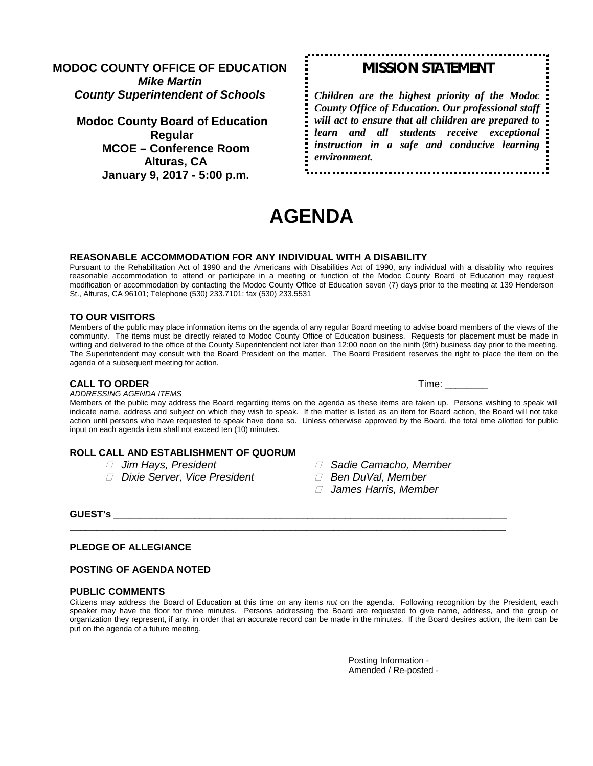**MODOC COUNTY OFFICE OF EDUCATION** *Mike Martin County Superintendent of Schools*

**Modoc County Board of Education Regular MCOE – Conference Room Alturas, CA January 9, 2017 - 5:00 p.m.**

# *MISSION STATEMENT*

*Children are the highest priority of the Modoc County Office of Education. Our professional staff will act to ensure that all children are prepared to learn and all students receive exceptional instruction in a safe and conducive learning environment.*

# **AGENDA**

#### **REASONABLE ACCOMMODATION FOR ANY INDIVIDUAL WITH A DISABILITY**

Pursuant to the Rehabilitation Act of 1990 and the Americans with Disabilities Act of 1990, any individual with a disability who requires reasonable accommodation to attend or participate in a meeting or function of the Modoc County Board of Education may request modification or accommodation by contacting the Modoc County Office of Education seven (7) days prior to the meeting at 139 Henderson St., Alturas, CA 96101; Telephone (530) 233.7101; fax (530) 233.5531

#### **TO OUR VISITORS**

Members of the public may place information items on the agenda of any regular Board meeting to advise board members of the views of the community. The items must be directly related to Modoc County Office of Education business. Requests for placement must be made in writing and delivered to the office of the County Superintendent not later than 12:00 noon on the ninth (9th) business day prior to the meeting. The Superintendent may consult with the Board President on the matter. The Board President reserves the right to place the item on the agenda of a subsequent meeting for action.

#### **CALL TO ORDER Time:**  $\blacksquare$

*ADDRESSING AGENDA ITEMS*

Members of the public may address the Board regarding items on the agenda as these items are taken up. Persons wishing to speak will indicate name, address and subject on which they wish to speak. If the matter is listed as an item for Board action, the Board will not take action until persons who have requested to speak have done so. Unless otherwise approved by the Board, the total time allotted for public input on each agenda item shall not exceed ten (10) minutes.

# **ROLL CALL AND ESTABLISHMENT OF QUORUM**

- 
- *Dixie Server, Vice President Ben DuVal, Member*
- *Jim Hays, President Sadie Camacho, Member*
	-
	- *James Harris, Member*

**GUEST's** \_\_\_\_\_\_\_\_\_\_\_\_\_\_\_\_\_\_\_\_\_\_\_\_\_\_\_\_\_\_\_\_\_\_\_\_\_\_\_\_\_\_\_\_\_\_\_\_\_\_\_\_\_\_\_\_\_\_\_\_\_\_\_\_\_\_\_\_\_\_\_\_\_

#### **PLEDGE OF ALLEGIANCE**

#### **POSTING OF AGENDA NOTED**

#### **PUBLIC COMMENTS**

Citizens may address the Board of Education at this time on any items *not* on the agenda. Following recognition by the President, each speaker may have the floor for three minutes. Persons addressing the Board are requested to give name, address, and the group or organization they represent, if any, in order that an accurate record can be made in the minutes. If the Board desires action, the item can be put on the agenda of a future meeting.

\_\_\_\_\_\_\_\_\_\_\_\_\_\_\_\_\_\_\_\_\_\_\_\_\_\_\_\_\_\_\_\_\_\_\_\_\_\_\_\_\_\_\_\_\_\_\_\_\_\_\_\_\_\_\_\_\_\_\_\_\_\_\_\_\_\_\_\_\_\_\_\_\_\_\_\_\_\_\_\_\_

Posting Information - Amended / Re-posted -